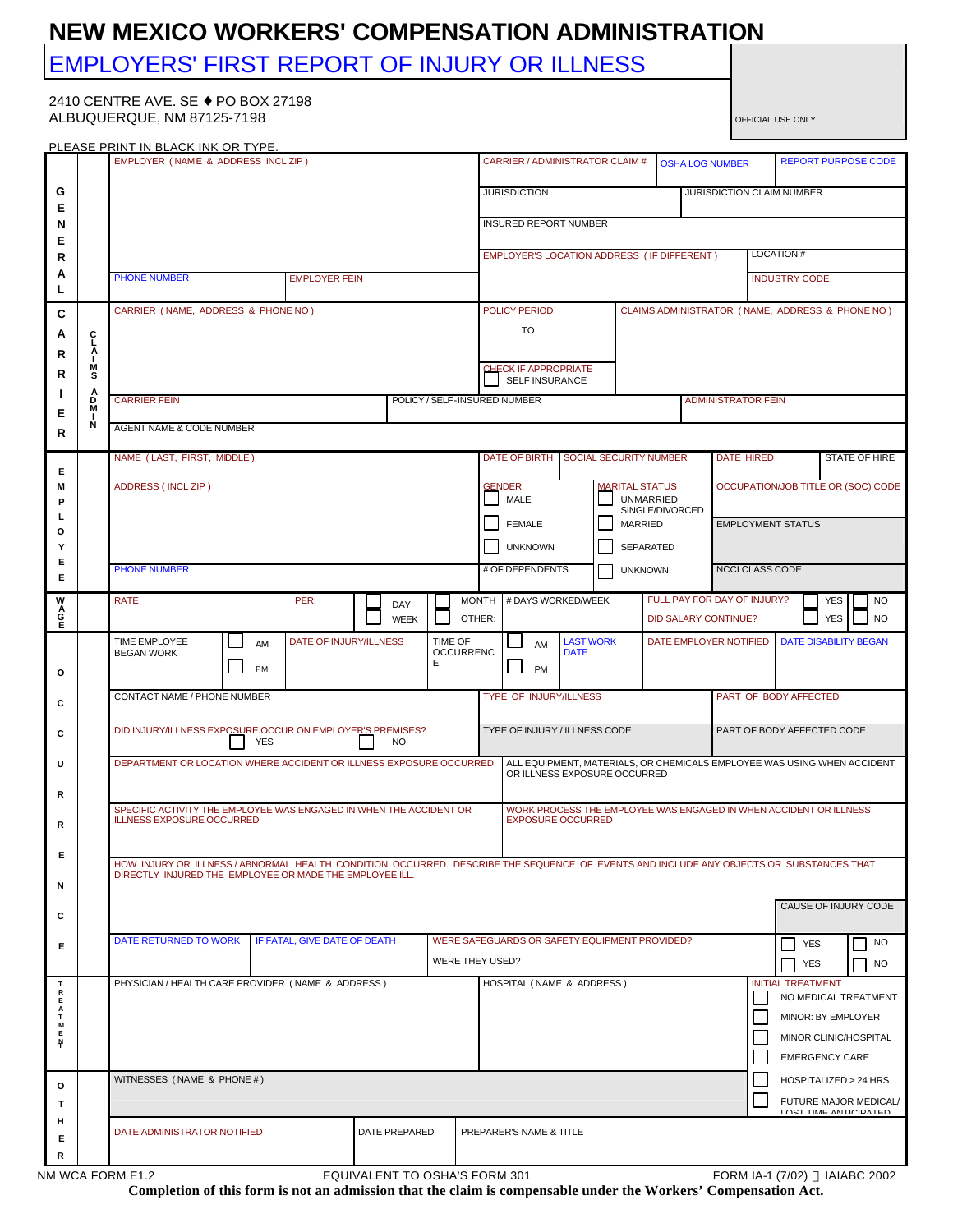## **NEW MEXICO WORKERS' COMPENSATION ADMINISTRATION**

# EMPLOYERS' FIRST REPORT OF INJURY OR ILLNESS

2410 CENTRE AVE. SE ♦ PO BOX 27198 ALBUQUERQUE, NM 87125-7198 **OFFICIAL USE ONLY** OFFICIAL USE ONLY

| PI FASE PRINT IN BI ACK INK OR TYPE. |                            |                                                                                                                                                                                                                           |          |                               |                                                                                                         |             |                             |                                                 |                                                                   |                            |                                                       |                       |                             |  |                                            |                                                        |            |                              |  |
|--------------------------------------|----------------------------|---------------------------------------------------------------------------------------------------------------------------------------------------------------------------------------------------------------------------|----------|-------------------------------|---------------------------------------------------------------------------------------------------------|-------------|-----------------------------|-------------------------------------------------|-------------------------------------------------------------------|----------------------------|-------------------------------------------------------|-----------------------|-----------------------------|--|--------------------------------------------|--------------------------------------------------------|------------|------------------------------|--|
|                                      |                            | EMPLOYER (NAME & ADDRESS INCL ZIP)                                                                                                                                                                                        |          |                               |                                                                                                         |             |                             |                                                 | CARRIER / ADMINISTRATOR CLAIM #<br><b>OSHA LOG NUMBER</b>         |                            |                                                       |                       |                             |  | <b>REPORT PURPOSE CODE</b>                 |                                                        |            |                              |  |
| G<br>Е                               |                            |                                                                                                                                                                                                                           |          |                               |                                                                                                         |             |                             |                                                 | <b>JURISDICTION</b>                                               |                            |                                                       |                       |                             |  |                                            | JURISDICTION CLAIM NUMBER                              |            |                              |  |
| N                                    |                            |                                                                                                                                                                                                                           |          |                               |                                                                                                         |             |                             |                                                 | <b>INSURED REPORT NUMBER</b>                                      |                            |                                                       |                       |                             |  |                                            |                                                        |            |                              |  |
| Е<br>R                               |                            |                                                                                                                                                                                                                           |          |                               |                                                                                                         |             |                             |                                                 | EMPLOYER'S LOCATION ADDRESS ( IF DIFFERENT )                      |                            |                                                       |                       |                             |  | <b>LOCATION#</b>                           |                                                        |            |                              |  |
| A<br>L                               |                            | <b>PHONE NUMBER</b><br><b>EMPLOYER FEIN</b>                                                                                                                                                                               |          |                               |                                                                                                         |             |                             |                                                 |                                                                   |                            |                                                       |                       |                             |  |                                            | <b>INDUSTRY CODE</b>                                   |            |                              |  |
| C                                    |                            | CARRIER (NAME, ADDRESS & PHONE NO)                                                                                                                                                                                        |          | POLICY PERIOD                 |                                                                                                         |             |                             | CLAIMS ADMINISTRATOR (NAME, ADDRESS & PHONE NO) |                                                                   |                            |                                                       |                       |                             |  |                                            |                                                        |            |                              |  |
| A                                    | ć                          |                                                                                                                                                                                                                           |          |                               |                                                                                                         |             |                             |                                                 | TO                                                                |                            |                                                       |                       |                             |  |                                            |                                                        |            |                              |  |
| R<br>R                               | Α<br>L.<br>М<br>s          |                                                                                                                                                                                                                           |          |                               |                                                                                                         |             |                             |                                                 | <b>CHECK IF APPROPRIATE</b><br><b>SELF INSURANCE</b>              |                            |                                                       |                       |                             |  |                                            |                                                        |            |                              |  |
|                                      | А<br>M                     | <b>CARRIER FEIN</b><br>POLICY / SELF-INSURED NUMBER                                                                                                                                                                       |          |                               |                                                                                                         |             |                             |                                                 |                                                                   |                            |                                                       |                       | <b>ADMINISTRATOR FEIN</b>   |  |                                            |                                                        |            |                              |  |
| Е<br>R                               | N                          | AGENT NAME & CODE NUMBER                                                                                                                                                                                                  |          |                               |                                                                                                         |             |                             |                                                 |                                                                   |                            |                                                       |                       |                             |  |                                            |                                                        |            |                              |  |
|                                      |                            | NAME (LAST, FIRST, MIDDLE)                                                                                                                                                                                                |          |                               |                                                                                                         |             |                             |                                                 | DATE OF BIRTH<br>SOCIAL SECURITY NUMBER                           |                            |                                                       |                       | <b>DATE HIRED</b>           |  |                                            |                                                        |            | <b>STATE OF HIRE</b>         |  |
| Е<br>M                               |                            | ADDRESS (INCL ZIP)                                                                                                                                                                                                        |          |                               |                                                                                                         |             |                             |                                                 | <b>GENDER</b>                                                     |                            |                                                       | <b>MARITAL STATUS</b> |                             |  | OCCUPATION/JOB TITLE OR (SOC) CODE         |                                                        |            |                              |  |
| P<br>L                               |                            |                                                                                                                                                                                                                           |          |                               |                                                                                                         |             |                             |                                                 | MALE<br><b>FEMALE</b>                                             |                            | <b>UNMARRIED</b><br>SINGLE/DIVORCED<br><b>MARRIED</b> |                       | <b>EMPLOYMENT STATUS</b>    |  |                                            |                                                        |            |                              |  |
| o<br>Y                               |                            |                                                                                                                                                                                                                           |          |                               |                                                                                                         |             |                             |                                                 | <b>UNKNOWN</b>                                                    | <b>SEPARATED</b>           |                                                       |                       |                             |  |                                            |                                                        |            |                              |  |
| Е<br>Е                               |                            | <b>PHONE NUMBER</b>                                                                                                                                                                                                       |          |                               |                                                                                                         |             |                             |                                                 | # OF DEPENDENTS                                                   |                            |                                                       | <b>UNKNOWN</b>        |                             |  | <b>NCCI CLASS CODE</b>                     |                                                        |            |                              |  |
|                                      |                            | <b>RATE</b>                                                                                                                                                                                                               |          | MONTH # DAYS WORKED/WEEK      |                                                                                                         |             | FULL PAY FOR DAY OF INJURY? |                                                 |                                                                   |                            |                                                       | <b>YES</b>            | <b>NO</b>                   |  |                                            |                                                        |            |                              |  |
| <b>MAGE</b>                          |                            |                                                                                                                                                                                                                           |          |                               |                                                                                                         | <b>WEEK</b> | TIME OF                     | OTHER:                                          |                                                                   |                            |                                                       |                       | <b>DID SALARY CONTINUE?</b> |  |                                            |                                                        | <b>YES</b> | <b>NO</b>                    |  |
|                                      |                            | TIME EMPLOYEE<br><b>BEGAN WORK</b>                                                                                                                                                                                        | AM<br>PM | DATE OF INJURY/ILLNESS        |                                                                                                         |             | <b>OCCURRENC</b><br>E       |                                                 | AM<br><b>PM</b>                                                   | <b>DATE</b>                | <b>LAST WORK</b>                                      |                       | DATE EMPLOYER NOTIFIED      |  |                                            |                                                        |            | <b>DATE DISABILITY BEGAN</b> |  |
| $\circ$                              |                            | CONTACT NAME / PHONE NUMBER                                                                                                                                                                                               |          | TYPE OF INJURY/ILLNESS        |                                                                                                         |             |                             |                                                 |                                                                   | PART OF BODY AFFECTED      |                                                       |                       |                             |  |                                            |                                                        |            |                              |  |
| C                                    |                            |                                                                                                                                                                                                                           |          |                               |                                                                                                         |             |                             |                                                 |                                                                   |                            |                                                       |                       |                             |  |                                            |                                                        |            |                              |  |
| C                                    |                            | DID INJURY/ILLNESS EXPOSURE OCCUR ON EMPLOYER'S PREMISES?                                                                                                                                                                 |          | TYPE OF INJURY / ILLNESS CODE |                                                                                                         |             |                             |                                                 |                                                                   | PART OF BODY AFFECTED CODE |                                                       |                       |                             |  |                                            |                                                        |            |                              |  |
| U                                    |                            | DEPARTMENT OR LOCATION WHERE ACCIDENT OR ILLNESS EXPOSURE OCCURRED                                                                                                                                                        |          |                               | ALL EQUIPMENT, MATERIALS, OR CHEMICALS EMPLOYEE WAS USING WHEN ACCIDENT<br>OR ILLNESS EXPOSURE OCCURRED |             |                             |                                                 |                                                                   |                            |                                                       |                       |                             |  |                                            |                                                        |            |                              |  |
| R                                    |                            | SPECIFIC ACTIVITY THE EMPLOYEE WAS ENGAGED IN WHEN THE ACCIDENT OR                                                                                                                                                        |          |                               |                                                                                                         |             |                             |                                                 | WORK PROCESS THE EMPLOYEE WAS ENGAGED IN WHEN ACCIDENT OR ILLNESS |                            |                                                       |                       |                             |  |                                            |                                                        |            |                              |  |
| R                                    |                            | <b>ILLNESS EXPOSURE OCCURRED</b>                                                                                                                                                                                          |          |                               |                                                                                                         |             |                             |                                                 | <b>EXPOSURE OCCURRED</b>                                          |                            |                                                       |                       |                             |  |                                            |                                                        |            |                              |  |
| E.                                   |                            | HOW INJURY OR ILLNESS / ABNORMAL HEALTH CONDITION OCCURRED. DESCRIBE THE SEQUENCE OF EVENTS AND INCLUDE ANY OBJECTS OR SUBSTANCES THAT<br>DIRECTLY INJURED THE EMPLOYEE OR MADE THE EMPLOYEE ILL.<br>CAUSE OF INJURY CODE |          |                               |                                                                                                         |             |                             |                                                 |                                                                   |                            |                                                       |                       |                             |  |                                            |                                                        |            |                              |  |
| N                                    |                            |                                                                                                                                                                                                                           |          |                               |                                                                                                         |             |                             |                                                 |                                                                   |                            |                                                       |                       |                             |  |                                            |                                                        |            |                              |  |
| C                                    |                            |                                                                                                                                                                                                                           |          |                               |                                                                                                         |             |                             |                                                 |                                                                   |                            |                                                       |                       |                             |  |                                            |                                                        |            |                              |  |
| Е                                    |                            | DATE RETURNED TO WORK<br>IF FATAL, GIVE DATE OF DEATH                                                                                                                                                                     |          |                               |                                                                                                         |             |                             |                                                 | WERE SAFEGUARDS OR SAFETY EQUIPMENT PROVIDED?<br>WERE THEY USED?  |                            |                                                       |                       |                             |  |                                            | <b>YES</b><br>YES                                      |            | NO<br>NO.                    |  |
| т                                    |                            | PHYSICIAN / HEALTH CARE PROVIDER (NAME & ADDRESS)                                                                                                                                                                         |          |                               |                                                                                                         |             |                             |                                                 | HOSPITAL (NAME & ADDRESS)                                         |                            |                                                       |                       |                             |  |                                            | <b>INITIAL TREATMENT</b>                               |            |                              |  |
| $\frac{R}{E}$<br>Α<br>т              |                            |                                                                                                                                                                                                                           |          |                               |                                                                                                         |             |                             |                                                 |                                                                   |                            |                                                       |                       |                             |  | NO MEDICAL TREATMENT<br>MINOR: BY EMPLOYER |                                                        |            |                              |  |
| M<br>E<br>Ņ                          |                            |                                                                                                                                                                                                                           |          |                               |                                                                                                         |             |                             |                                                 |                                                                   |                            |                                                       |                       |                             |  |                                            | MINOR CLINIC/HOSPITAL                                  |            |                              |  |
|                                      | WITNESSES (NAME & PHONE #) |                                                                                                                                                                                                                           |          |                               |                                                                                                         |             |                             |                                                 |                                                                   |                            |                                                       |                       |                             |  |                                            | <b>EMERGENCY CARE</b><br>HOSPITALIZED > 24 HRS         |            |                              |  |
| $\circ$<br>т                         |                            |                                                                                                                                                                                                                           |          |                               |                                                                                                         |             |                             |                                                 |                                                                   |                            |                                                       |                       |                             |  |                                            | FUTURE MAJOR MEDICAL/<br><b>I OCT TIME ANTIQIDATED</b> |            |                              |  |
| н<br>Е                               |                            | DATE ADMINISTRATOR NOTIFIED<br>DATE PREPARED                                                                                                                                                                              |          |                               |                                                                                                         |             |                             |                                                 | PREPARER'S NAME & TITLE                                           |                            |                                                       |                       |                             |  |                                            |                                                        |            |                              |  |
| R                                    |                            |                                                                                                                                                                                                                           |          |                               |                                                                                                         |             |                             |                                                 |                                                                   |                            |                                                       |                       |                             |  |                                            |                                                        |            |                              |  |

**Completion of this form is not an admission that the claim is compensable under the Workers' Compensation Act.**

NM WCA FORM E1.2 EQUIVALENT TO OSHA'S FORM 301 FORM 1A-1 (7/02) © IAIABC 2002